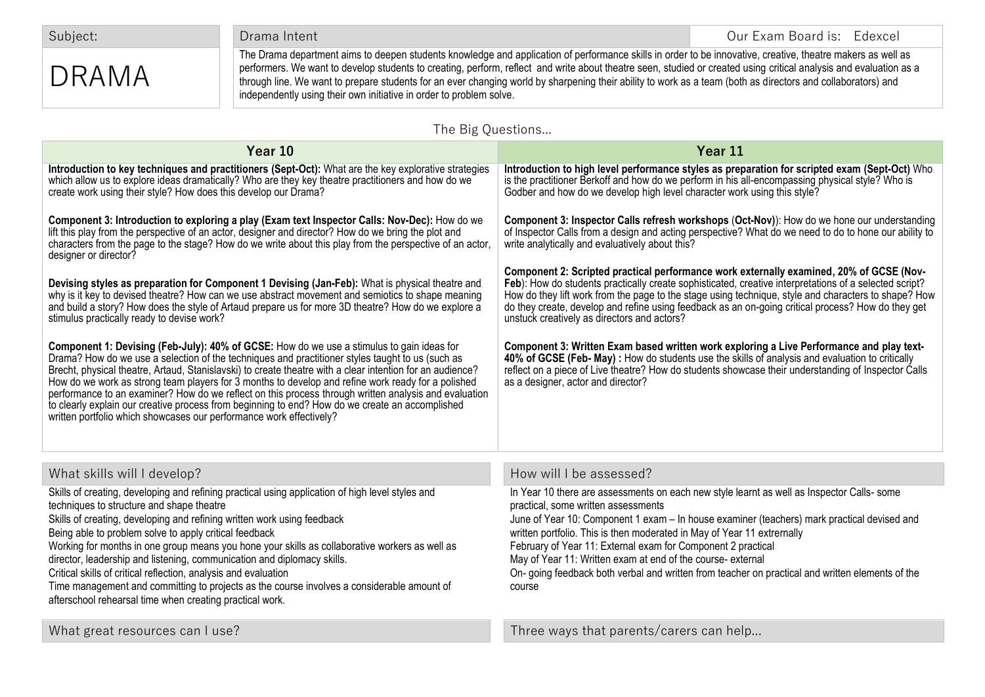Subject: Contract of the Drama Intent Contract of the Contract of the Contract of Contract Our Exam Board is: Edexcel

## DRAMA

The Drama department aims to deepen students knowledge and application of performance skills in order to be innovative, creative, theatre makers as well as performers. We want to develop students to creating, perform, reflect and write about theatre seen, studied or created using critical analysis and evaluation as a through line. We want to prepare students for an ever changing world by sharpening their ability to work as a team (both as directors and collaborators) and independently using their own initiative in order to problem solve.

## The Big Questions...

| Year 10                                                                                                                                                                                                                                                                                                                                                                                                                                                                                                                                                                                                                                                                                             | Year 11                                                                                                                                                                                                                                                                                                                                                                                                                                                                                                                                                  |
|-----------------------------------------------------------------------------------------------------------------------------------------------------------------------------------------------------------------------------------------------------------------------------------------------------------------------------------------------------------------------------------------------------------------------------------------------------------------------------------------------------------------------------------------------------------------------------------------------------------------------------------------------------------------------------------------------------|----------------------------------------------------------------------------------------------------------------------------------------------------------------------------------------------------------------------------------------------------------------------------------------------------------------------------------------------------------------------------------------------------------------------------------------------------------------------------------------------------------------------------------------------------------|
| Introduction to key techniques and practitioners (Sept-Oct): What are the key explorative strategies<br>which allow us to explore ideas dramatically? Who are they key theatre practitioners and how do we<br>create work using their style? How does this develop our Drama?                                                                                                                                                                                                                                                                                                                                                                                                                       | Introduction to high level performance styles as preparation for scripted exam (Sept-Oct) Who<br>is the practitioner Berkoff and how do we perform in his all-encompassing physical style? Who is<br>Godber and how do we develop high level character work using this style?                                                                                                                                                                                                                                                                            |
| Component 3: Introduction to exploring a play (Exam text Inspector Calls: Nov-Dec): How do we<br>lift this play from the perspective of an actor, designer and director? How do we bring the plot and<br>characters from the page to the stage? How do we write about this play from the perspective of an actor,<br>designer or director?                                                                                                                                                                                                                                                                                                                                                          | Component 3: Inspector Calls refresh workshops (Oct-Nov)): How do we hone our understanding<br>of Inspector Calls from a design and acting perspective? What do we need to do to hone our ability to<br>write analytically and evaluatively about this?                                                                                                                                                                                                                                                                                                  |
| Devising styles as preparation for Component 1 Devising (Jan-Feb): What is physical theatre and<br>why is it key to devised theatre? How can we use abstract movement and semiotics to shape meaning<br>and build a story? How does the style of Artaud prepare us for more 3D theatre? How do we explore a<br>stimulus practically ready to devise work?                                                                                                                                                                                                                                                                                                                                           | Component 2: Scripted practical performance work externally examined, 20% of GCSE (Nov-<br>Feb). How do students practically create sophisticated, creative interpretations of a selected script?<br>How do they lift work from the page to the stage using technique, style and characters to shape? How<br>do they create, develop and refine using feedback as an on-going critical process? How do they get<br>unstuck creatively as directors and actors?                                                                                           |
| Component 1: Devising (Feb-July): 40% of GCSE: How do we use a stimulus to gain ideas for<br>Drama? How do we use a selection of the techniques and practitioner styles taught to us (such as<br>Brecht, physical theatre, Artaud, Stanislavski) to create theatre with a clear intention for an audience?<br>How do we work as strong team players for 3 months to develop and refine work ready for a polished<br>performance to an examiner? How do we reflect on this process through written analysis and evaluation<br>to clearly explain our creative process from beginning to end? How do we create an accomplished<br>written portfolio which showcases our performance work effectively? | Component 3: Written Exam based written work exploring a Live Performance and play text-<br>40% of GCSE (Feb- May) : How do students use the skills of analysis and evaluation to critically<br>reflect on a piece of Live theatre? How do students showcase their understanding of Inspector Calls<br>as a designer, actor and director?                                                                                                                                                                                                                |
| What skills will I develop?                                                                                                                                                                                                                                                                                                                                                                                                                                                                                                                                                                                                                                                                         | How will I be assessed?                                                                                                                                                                                                                                                                                                                                                                                                                                                                                                                                  |
| Skills of creating, developing and refining practical using application of high level styles and<br>techniques to structure and shape theatre<br>Skills of creating, developing and refining written work using feedback<br>Being able to problem solve to apply critical feedback<br>Working for months in one group means you hone your skills as collaborative workers as well as<br>director, leadership and listening, communication and diplomacy skills.<br>Critical skills of critical reflection, analysis and evaluation<br>Time management and committing to projects as the course involves a considerable amount of<br>afterschool rehearsal time when creating practical work.        | In Year 10 there are assessments on each new style learnt as well as Inspector Calls- some<br>practical, some written assessments<br>June of Year 10: Component 1 exam - In house examiner (teachers) mark practical devised and<br>written portfolio. This is then moderated in May of Year 11 extrernally<br>February of Year 11: External exam for Component 2 practical<br>May of Year 11: Written exam at end of the course- external<br>On- going feedback both verbal and written from teacher on practical and written elements of the<br>course |
| What great resources can I use?                                                                                                                                                                                                                                                                                                                                                                                                                                                                                                                                                                                                                                                                     | Three ways that parents/carers can help                                                                                                                                                                                                                                                                                                                                                                                                                                                                                                                  |